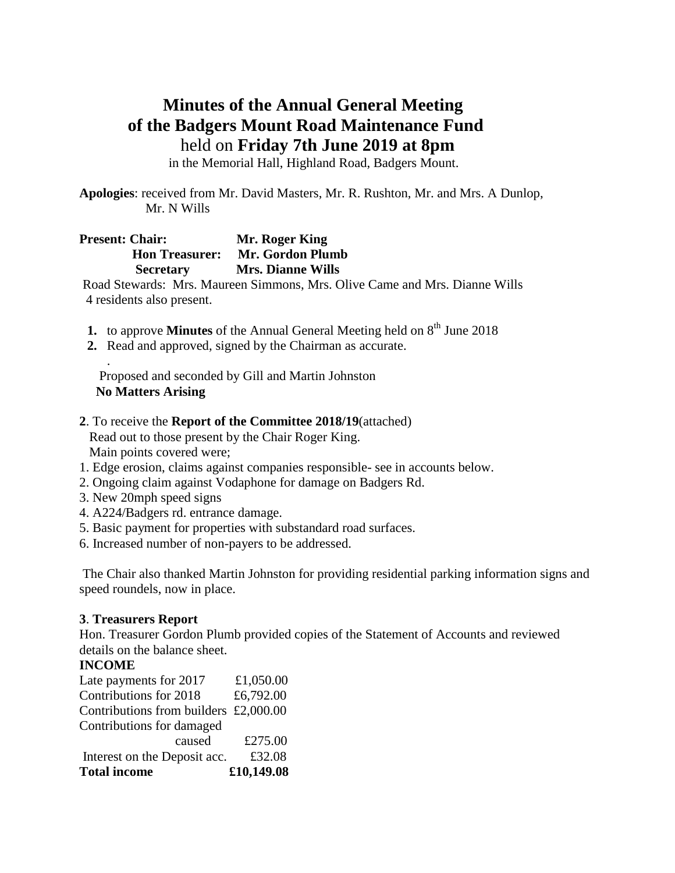# **Minutes of the Annual General Meeting of the Badgers Mount Road Maintenance Fund** held on **Friday 7th June 2019 at 8pm**

in the Memorial Hall, Highland Road, Badgers Mount.

**Apologies**: received from Mr. David Masters, Mr. R. Rushton, Mr. and Mrs. A Dunlop, Mr. N Wills

# **Present: Chair: Mr. Roger King Hon Treasurer: Mr. Gordon Plumb Secretary Mrs. Dianne Wills**

Road Stewards: Mrs. Maureen Simmons, Mrs. Olive Came and Mrs. Dianne Wills 4 residents also present.

- **1.** to approve **Minutes** of the Annual General Meeting held on  $8<sup>th</sup>$  June 2018
- **2.** Read and approved, signed by the Chairman as accurate.

 Proposed and seconded by Gill and Martin Johnston  **No Matters Arising** 

**2**. To receive the **Report of the Committee 2018/19**(attached) Read out to those present by the Chair Roger King.

Main points covered were;

- 1. Edge erosion, claims against companies responsible- see in accounts below.
- 2. Ongoing claim against Vodaphone for damage on Badgers Rd.
- 3. New 20mph speed signs
- 4. A224/Badgers rd. entrance damage.
- 5. Basic payment for properties with substandard road surfaces.
- 6. Increased number of non-payers to be addressed.

The Chair also thanked Martin Johnston for providing residential parking information signs and speed roundels, now in place.

### **3**. **Treasurers Report**

Hon. Treasurer Gordon Plumb provided copies of the Statement of Accounts and reviewed details on the balance sheet.

### **INCOME**

.

| <b>Total income</b>                   | £10,149.08 |
|---------------------------------------|------------|
| Interest on the Deposit acc.          | £32.08     |
| caused                                | £275.00    |
| Contributions for damaged             |            |
| Contributions from builders £2,000.00 |            |
| Contributions for 2018                | £6,792.00  |
| Late payments for 2017                | £1,050.00  |
|                                       |            |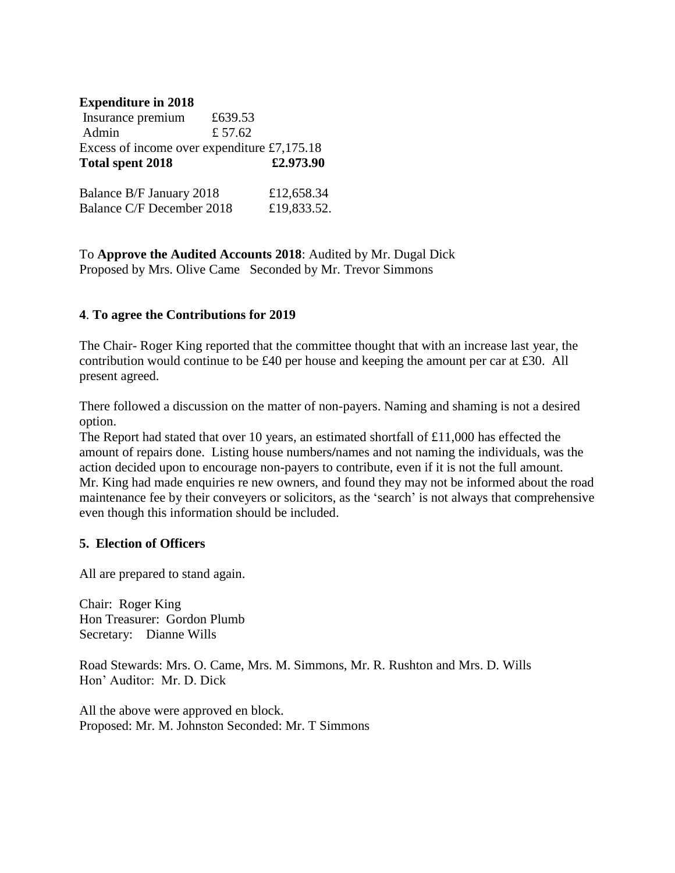## **Expenditure in 2018**

| Insurance premium                | £639.53                                     |
|----------------------------------|---------------------------------------------|
| Admin                            | £ 57.62                                     |
|                                  | Excess of income over expenditure £7,175.18 |
| <b>Total spent 2018</b>          | £2.973.90                                   |
| Balance B/F January 2018         | £12,658.34                                  |
| <b>Balance C/F December 2018</b> | £19,833.52.                                 |

To **Approve the Audited Accounts 2018**: Audited by Mr. Dugal Dick Proposed by Mrs. Olive Came Seconded by Mr. Trevor Simmons

## **4**. **To agree the Contributions for 2019**

The Chair- Roger King reported that the committee thought that with an increase last year, the contribution would continue to be £40 per house and keeping the amount per car at £30. All present agreed.

There followed a discussion on the matter of non-payers. Naming and shaming is not a desired option.

The Report had stated that over 10 years, an estimated shortfall of £11,000 has effected the amount of repairs done. Listing house numbers**/**names and not naming the individuals, was the action decided upon to encourage non-payers to contribute, even if it is not the full amount. Mr. King had made enquiries re new owners, and found they may not be informed about the road maintenance fee by their conveyers or solicitors, as the 'search' is not always that comprehensive even though this information should be included.

### **5. Election of Officers**

All are prepared to stand again.

Chair: Roger King Hon Treasurer: Gordon Plumb Secretary: Dianne Wills

Road Stewards: Mrs. O. Came, Mrs. M. Simmons, Mr. R. Rushton and Mrs. D. Wills Hon' Auditor: Mr. D. Dick

All the above were approved en block. Proposed: Mr. M. Johnston Seconded: Mr. T Simmons